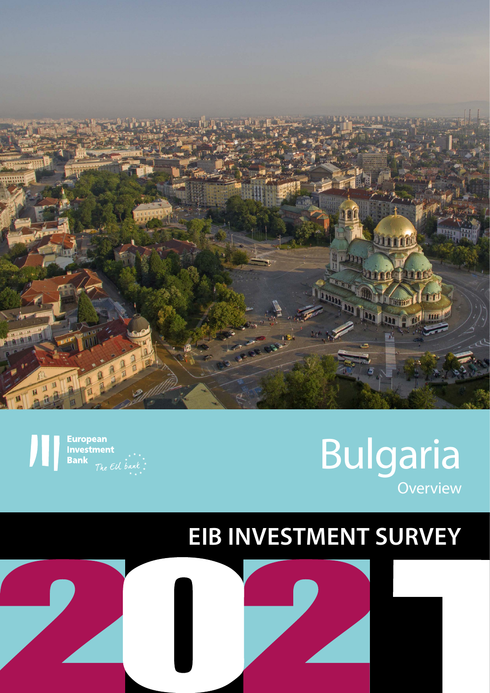

**European Investment Banl** 

# Bulgaria **Overview**

# **EIB INVESTMENT SURVEY**

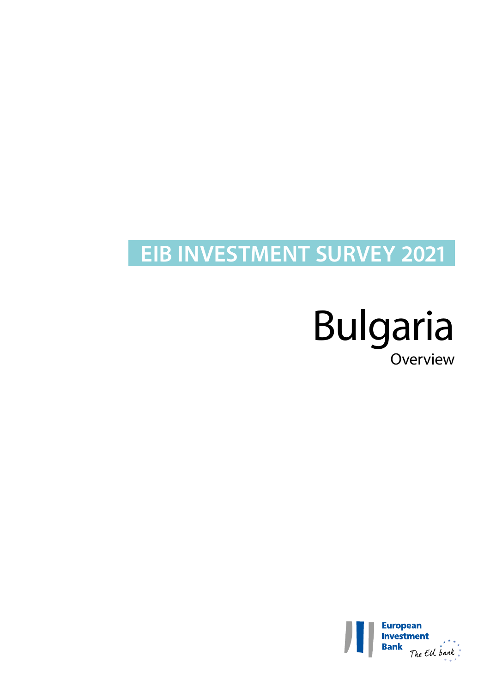# **EIB INVESTMENT SURVEY 2021**

# Bulgaria Overview

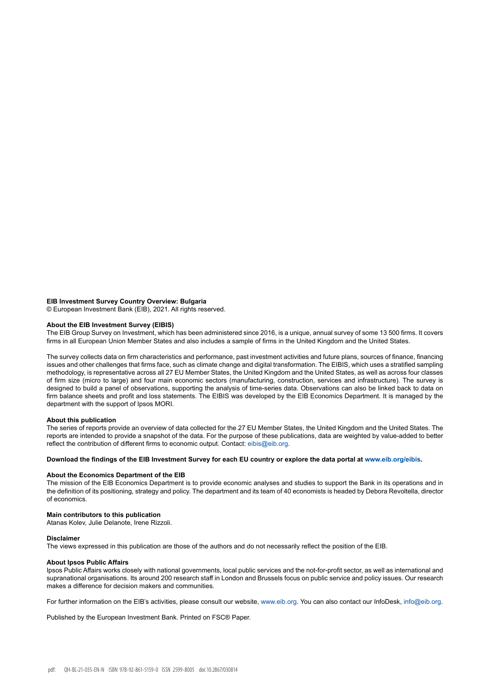#### **EIB Investment Survey Country Overview: Bulgaria**

© European Investment Bank (EIB), 2021. All rights reserved.

#### **About the EIB Investment Survey (EIBIS)**

The EIB Group Survey on Investment, which has been administered since 2016, is a unique, annual survey of some 13 500 firms. It covers firms in all European Union Member States and also includes a sample of firms in the United Kingdom and the United States.

The survey collects data on firm characteristics and performance, past investment activities and future plans, sources of finance, financing issues and other challenges that firms face, such as climate change and digital transformation. The EIBIS, which uses a stratified sampling methodology, is representative across all 27 EU Member States, the United Kingdom and the United States, as well as across four classes of firm size (micro to large) and four main economic sectors (manufacturing, construction, services and infrastructure). The survey is designed to build a panel of observations, supporting the analysis of time-series data. Observations can also be linked back to data on firm balance sheets and profit and loss statements. The EIBIS was developed by the EIB Economics Department. It is managed by the department with the support of Ipsos MORI.

#### **About this publication**

The series of reports provide an overview of data collected for the 27 EU Member States, the United Kingdom and the United States. The reports are intended to provide a snapshot of the data. For the purpose of these publications, data are weighted by value-added to better reflect the contribution of different firms to economic output. Contact: eibis@eib.org.

#### **Download the findings of the EIB Investment Survey for each EU country or explore the data portal at www.eib.org/eibis.**

#### **About the Economics Department of the EIB**

The mission of the EIB Economics Department is to provide economic analyses and studies to support the Bank in its operations and in the definition of its positioning, strategy and policy. The department and its team of 40 economists is headed by Debora Revoltella, director of economics.

#### **Main contributors to this publication**

Atanas Kolev, Julie Delanote, Irene Rizzoli.

#### **Disclaimer**

The views expressed in this publication are those of the authors and do not necessarily reflect the position of the EIB.

#### **About Ipsos Public Affairs**

Ipsos Public Affairs works closely with national governments, local public services and the not-for-profit sector, as well as international and supranational organisations. Its around 200 research staff in London and Brussels focus on public service and policy issues. Our research makes a difference for decision makers and communities.

For further information on the EIB's activities, please consult our website, [www.eib.org](http://www.eib.org). You can also contact our InfoDesk, [info@eib.org](http://info@eib.org).

Published by the European Investment Bank. Printed on FSC® Paper.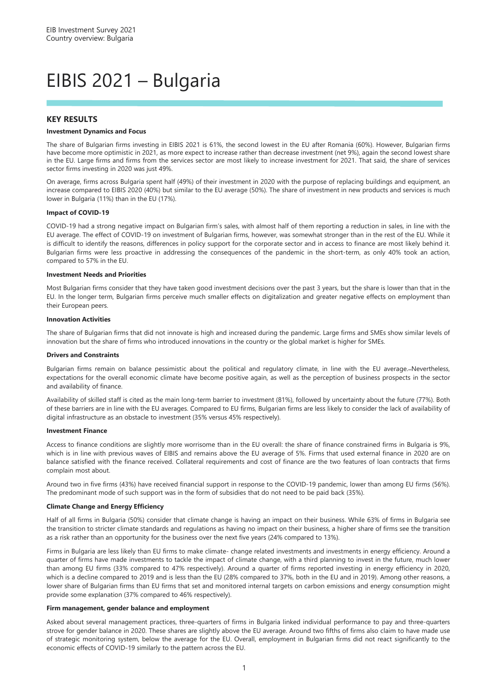# EIBIS 2021 – Bulgaria

#### **KEY RESULTS**

#### **Investment Dynamics and Focus**

The share of Bulgarian firms investing in EIBIS 2021 is 61%, the second lowest in the EU after Romania (60%). However, Bulgarian firms have become more optimistic in 2021, as more expect to increase rather than decrease investment (net 9%), again the second lowest share in the EU. Large firms and firms from the services sector are most likely to increase investment for 2021. That said, the share of services sector firms investing in 2020 was just 49%.

On average, firms across Bulgaria spent half (49%) of their investment in 2020 with the purpose of replacing buildings and equipment, an increase compared to EIBIS 2020 (40%) but similar to the EU average (50%). The share of investment in new products and services is much lower in Bulgaria (11%) than in the EU (17%).

#### **Impact of COVID-19**

COVID-19 had a strong negative impact on Bulgarian firm's sales, with almost half of them reporting a reduction in sales, in line with the EU average. The effect of COVID-19 on investment of Bulgarian firms, however, was somewhat stronger than in the rest of the EU. While it is difficult to identify the reasons, differences in policy support for the corporate sector and in access to finance are most likely behind it. Bulgarian firms were less proactive in addressing the consequences of the pandemic in the short-term, as only 40% took an action, compared to 57% in the EU.

#### **Investment Needs and Priorities**

Most Bulgarian firms consider that they have taken good investment decisions over the past 3 years, but the share is lower than that in the EU. In the longer term, Bulgarian firms perceive much smaller effects on digitalization and greater negative effects on employment than their European peers.

#### **Innovation Activities**

The share of Bulgarian firms that did not innovate is high and increased during the pandemic. Large firms and SMEs show similar levels of innovation but the share of firms who introduced innovations in the country or the global market is higher for SMEs.

#### **Drivers and Constraints**

Bulgarian firms remain on balance pessimistic about the political and regulatory climate, in line with the EU average. Nevertheless, expectations for the overall economic climate have become positive again, as well as the perception of business prospects in the sector and availability of finance.

Availability of skilled staff is cited as the main long-term barrier to investment (81%), followed by uncertainty about the future (77%). Both of these barriers are in line with the EU averages. Compared to EU firms, Bulgarian firms are less likely to consider the lack of availability of digital infrastructure as an obstacle to investment (35% versus 45% respectively).

#### **Investment Finance**

Access to finance conditions are slightly more worrisome than in the EU overall: the share of finance constrained firms in Bulgaria is 9%, which is in line with previous waves of EIBIS and remains above the EU average of 5%. Firms that used external finance in 2020 are on balance satisfied with the finance received. Collateral requirements and cost of finance are the two features of loan contracts that firms complain most about.

Around two in five firms (43%) have received financial support in response to the COVID-19 pandemic, lower than among EU firms (56%). The predominant mode of such support was in the form of subsidies that do not need to be paid back (35%).

#### **Climate Change and Energy Efficiency**

Half of all firms in Bulgaria (50%) consider that climate change is having an impact on their business. While 63% of firms in Bulgaria see the transition to stricter climate standards and regulations as having no impact on their business, a higher share of firms see the transition as a risk rather than an opportunity for the business over the next five years (24% compared to 13%).

Firms in Bulgaria are less likely than EU firms to make climate- change related investments and investments in energy efficiency. Around a quarter of firms have made investments to tackle the impact of climate change, with a third planning to invest in the future, much lower than among EU firms (33% compared to 47% respectively). Around a quarter of firms reported investing in energy efficiency in 2020, which is a decline compared to 2019 and is less than the EU (28% compared to 37%, both in the EU and in 2019). Among other reasons, a lower share of Bulgarian firms than EU firms that set and monitored internal targets on carbon emissions and energy consumption might provide some explanation (37% compared to 46% respectively).

#### **Firm management, gender balance and employment**

Asked about several management practices, three-quarters of firms in Bulgaria linked individual performance to pay and three-quarters strove for gender balance in 2020. These shares are slightly above the EU average. Around two fifths of firms also claim to have made use of strategic monitoring system, below the average for the EU. Overall, employment in Bulgarian firms did not react significantly to the economic effects of COVID-19 similarly to the pattern across the EU.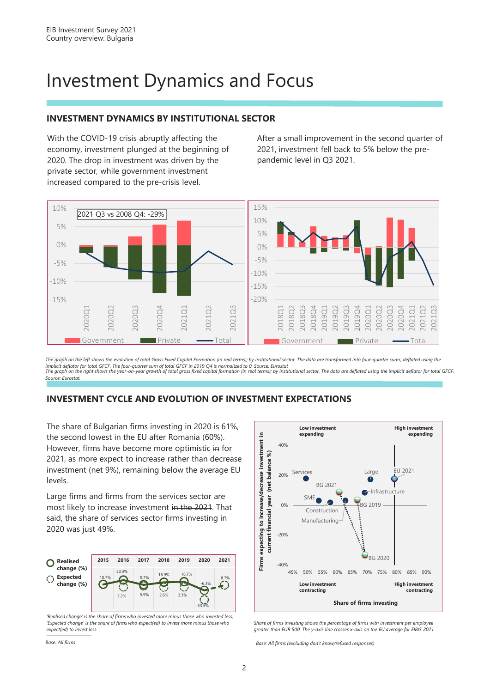## Investment Dynamics and Focus

### **INVESTMENT DYNAMICS BY INSTITUTIONAL SECTOR**

With the COVID-19 crisis abruptly affecting the economy, investment plunged at the beginning of 2020. The drop in investment was driven by the private sector, while government investment increased compared to the pre-crisis level.

After a small improvement in the second quarter of 2021, investment fell back to 5% below the prepandemic level in Q3 2021.



*The graph on the left shows the evolution of total Gross Fixed Capital Formation (in real terms); by institutional sector. The data are transformed into four-quarter sums, deflated using the*  implicit deflator for total GFCF. The four-quarter sum of total GFCF in 2019 Q4 is normalized to 0. Source: Eurostat<br>The graph on the right shows the year-on-year growth of total gross fixed capital formation (in real term *Source: Eurostat.*

### **INVESTMENT CYCLE AND EVOLUTION OF INVESTMENT EXPECTATIONS**

The share of Bulgarian firms investing in 2020 is 61%, the second lowest in the EU after Romania (60%). However, firms have become more optimistic in for 2021, as more expect to increase rather than decrease investment (net 9%), remaining below the average EU levels.

Large firms and firms from the services sector are most likely to increase investment in the 2021. That said, the share of services sector firms investing in 2020 was just 49%.



*'Realised change' is the share of firms who invested more minus those who invested less; 'Expected change' is the share of firms who expect(ed) to invest more minus those who expect(ed) to invest less.*

**Low investment High investment**  Firms expecting to increase/decrease investment in **Firms expecting to increase/decrease investment in expanding expanding**  $10%$ (net balance %) **current financial year (net balance %)** Services Large EU 2021 Large 20%  $\mathcal{L}$ BG 2021 Infrastructure current financial year SME  $BG$  2019  $0%$ Construction Manufacturing -20%  $B<sub>6</sub>$  2020 -40% 45% 50% 55% 60% 65% 70% 75% 80% 85% 90% **High investment Low investment contracting contracting Share of firms investing**

*Share of firms investing shows the percentage of firms with investment per employee greater than EUR 500. The y-axis line crosses x-axis on the EU average for EIBIS 2021.*

*Base: All firms Base: All firms (excluding don't know/refused responses)*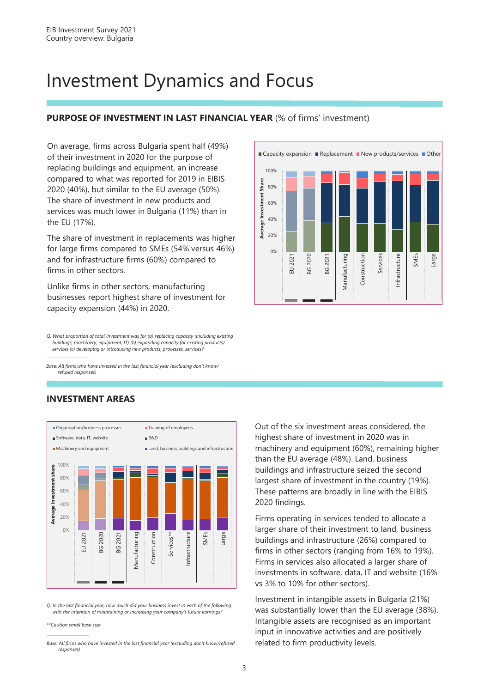### Investment Dynamics and Focus

### **PURPOSE OF INVESTMENT IN LAST FINANCIAL YEAR (% of firms' investment)**

On average, firms across Bulgaria spent half (49%) of their investment in 2020 for the purpose of replacing buildings and equipment, an increase compared to what was reported for 2019 in EIBIS 2020 (40%), but similar to the EU average (50%). The share of investment in new products and services was much lower in Bulgaria (11%) than in the EU (17%).

The share of investment in replacements was higher for large firms compared to SMEs (54% versus 46%) and for infrastructure firms (60%) compared to firms in other sectors.

Unlike firms in other sectors, manufacturing businesses report highest share of investment for capacity expansion (44%) in 2020.

*Q. What proportion of total investment was for (a) replacing capacity (including existing buildings, machinery, equipment, IT) (b) expanding capacity for existing products/ services (c) developing or introducing new products, processes, services?*

*Base: All firms who have invested in the last financial year (excluding don't know/ refused responses)*

#### **INVESTMENT AREAS**



*Q. In the last financial year, how much did your business invest in each of the following with the intention of maintaining or increasing your company's future earnings?*

*\*\*Caution small base size*



Out of the six investment areas considered, the highest share of investment in 2020 was in machinery and equipment (60%), remaining higher than the EU average (48%). Land, business buildings and infrastructure seized the second largest share of investment in the country (19%). These patterns are broadly in line with the EIBIS 2020 findings.

Firms operating in services tended to allocate a larger share of their investment to land, business buildings and infrastructure (26%) compared to firms in other sectors (ranging from 16% to 19%). Firms in services also allocated a larger share of investments in software, data, IT and website (16% vs 3% to 10% for other sectors).

Investment in intangible assets in Bulgaria (21%) was substantially lower than the EU average (38%). Intangible assets are recognised as an important input in innovative activities and are positively related to firm productivity levels.

*Base: All firms who have invested in the last financial year (excluding don't know/refused responses)*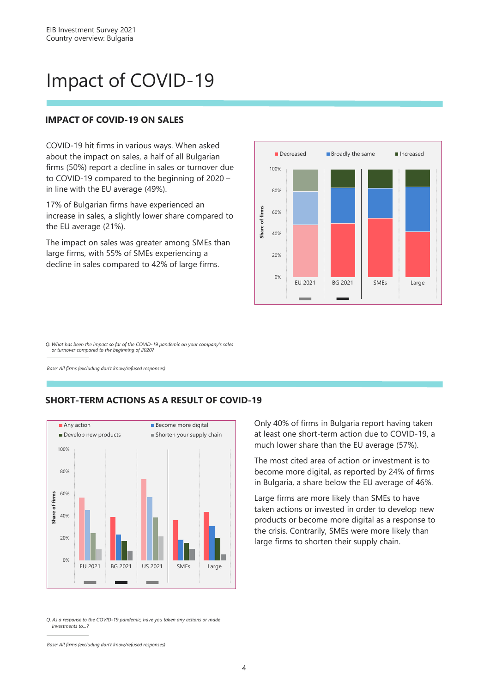# Impact of COVID-19

#### **IMPACT OF COVID-19 ON SALES**

COVID-19 hit firms in various ways. When asked about the impact on sales, a half of all Bulgarian firms (50%) report a decline in sales or turnover due to COVID-19 compared to the beginning of 2020 – in line with the EU average (49%).

17% of Bulgarian firms have experienced an increase in sales, a slightly lower share compared to the EU average (21%).

The impact on sales was greater among SMEs than large firms, with 55% of SMEs experiencing a decline in sales compared to 42% of large firms.



*Q. What has been the impact so far of the COVID-19 pandemic on your company's sales or turnover compared to the beginning of 2020?*

*Base: All firms (excluding don't know/refused responses)*

#### **SHORT-TERM ACTIONS AS A RESULT OF COVID-19**



*Q. As a response to the COVID-19 pandemic, have you taken any actions or made investments to…?*

Only 40% of firms in Bulgaria report having taken at least one short-term action due to COVID-19, a much lower share than the EU average (57%).

The most cited area of action or investment is to become more digital, as reported by 24% of firms in Bulgaria, a share below the EU average of 46%.

Large firms are more likely than SMEs to have taken actions or invested in order to develop new products or become more digital as a response to the crisis. Contrarily, SMEs were more likely than large firms to shorten their supply chain.

*Base: All firms (excluding don't know/refused responses)*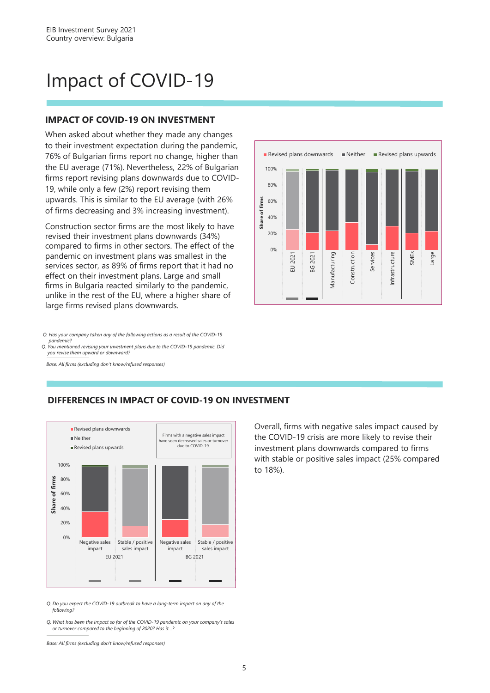# Impact of COVID-19

#### **IMPACT OF COVID-19 ON INVESTMENT**

When asked about whether they made any changes to their investment expectation during the pandemic, 76% of Bulgarian firms report no change, higher than the EU average (71%). Nevertheless, 22% of Bulgarian firms report revising plans downwards due to COVID-19, while only a few (2%) report revising them upwards. This is similar to the EU average (with 26% of firms decreasing and 3% increasing investment).

Construction sector firms are the most likely to have revised their investment plans downwards (34%) compared to firms in other sectors. The effect of the pandemic on investment plans was smallest in the services sector, as 89% of firms report that it had no effect on their investment plans. Large and small firms in Bulgaria reacted similarly to the pandemic, unlike in the rest of the EU, where a higher share of large firms revised plans downwards.

*Q. You mentioned revising your investment plans due to the COVID-19 pandemic. Did pandemic? Q. Has your company taken any of the following actions as a result of the COVID-19* 

*you revise them upward or downward?*

*Base: All firms (excluding don't know/refused responses)*



**DIFFERENCES IN IMPACT OF COVID-19 ON INVESTMENT**

Overall, firms with negative sales impact caused by the COVID-19 crisis are more likely to revise their investment plans downwards compared to firms with stable or positive sales impact (25% compared to 18%).

*Q. Do you expect the COVID-19 outbreak to have a long-term impact on any of the following?*

*Q. What has been the impact so far of the COVID-19 pandemic on your company's sales or turnover compared to the beginning of 2020? Has it…?*

*Base: All firms (excluding don't know/refused responses)*

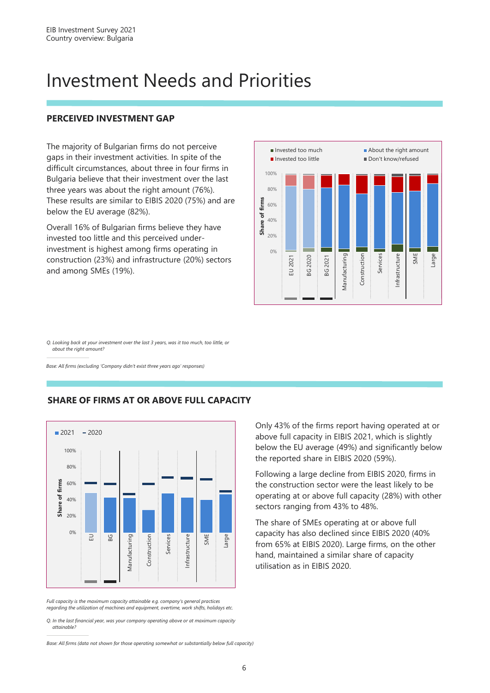## Investment Needs and Priorities

### **PERCEIVED INVESTMENT GAP**

The majority of Bulgarian firms do not perceive gaps in their investment activities. In spite of the difficult circumstances, about three in four firms in Bulgaria believe that their investment over the last three years was about the right amount (76%). These results are similar to EIBIS 2020 (75%) and are below the EU average (82%).

Overall 16% of Bulgarian firms believe they have invested too little and this perceived underinvestment is highest among firms operating in construction (23%) and infrastructure (20%) sectors and among SMEs (19%).



*Q. Looking back at your investment over the last 3 years, was it too much, too little, or about the right amount?*

*Base: All firms (excluding 'Company didn't exist three years ago' responses)*



#### **SHARE OF FIRMS AT OR ABOVE FULL CAPACITY**

*Full capacity is the maximum capacity attainable e.g. company's general practices regarding the utilization of machines and equipment, overtime, work shifts, holidays etc.*

*Q. In the last financial year, was your company operating above or at maximum capacity attainable?*

*Base: All firms (data not shown for those operating somewhat or substantially below full capacity)*

Only 43% of the firms report having operated at or above full capacity in EIBIS 2021, which is slightly below the EU average (49%) and significantly below the reported share in EIBIS 2020 (59%).

Following a large decline from EIBIS 2020, firms in the construction sector were the least likely to be operating at or above full capacity (28%) with other sectors ranging from 43% to 48%.

The share of SMEs operating at or above full capacity has also declined since EIBIS 2020 (40% from 65% at EIBIS 2020). Large firms, on the other hand, maintained a similar share of capacity utilisation as in EIBIS 2020.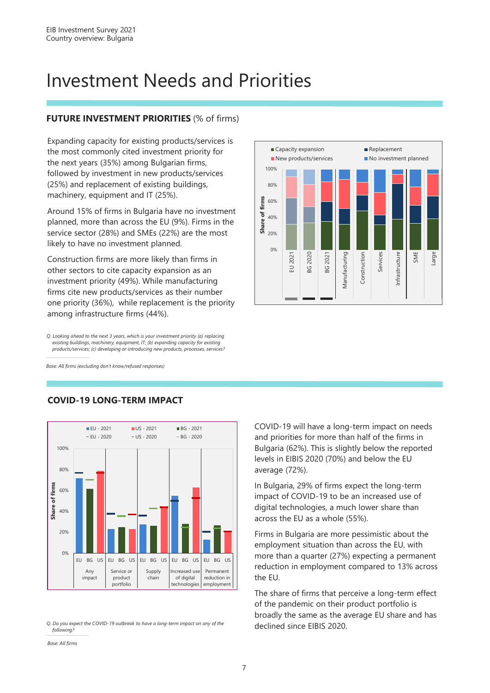# Investment Needs and Priorities

### **FUTURE INVESTMENT PRIORITIES** (% of firms)

Expanding capacity for existing products/services is the most commonly cited investment priority for the next years (35%) among Bulgarian firms, followed by investment in new products/services (25%) and replacement of existing buildings, machinery, equipment and IT (25%).

Around 15% of firms in Bulgaria have no investment planned, more than across the EU (9%). Firms in the service sector (28%) and SMEs (22%) are the most likely to have no investment planned.

Construction firms are more likely than firms in other sectors to cite capacity expansion as an investment priority (49%). While manufacturing firms cite new products/services as their number one priority (36%), while replacement is the priority among infrastructure firms (44%).

*Q. Looking ahead to the next 3 years, which is your investment priority (a) replacing existing buildings, machinery, equipment, IT; (b) expanding capacity for existing products/services; (c) developing or introducing new products, processes, services?*

*Base: All firms (excluding don't know/refused responses)*



#### **COVID-19 LONG-TERM IMPACT**

*Q. Do you expect the COVID-19 outbreak to have a long-term impact on any of the following?*



COVID-19 will have a long-term impact on needs and priorities for more than half of the firms in Bulgaria (62%). This is slightly below the reported levels in EIBIS 2020 (70%) and below the EU average (72%).

In Bulgaria, 29% of firms expect the long-term impact of COVID-19 to be an increased use of digital technologies, a much lower share than across the EU as a whole (55%).

Firms in Bulgaria are more pessimistic about the employment situation than across the EU, with more than a quarter (27%) expecting a permanent reduction in employment compared to 13% across the EU.

The share of firms that perceive a long-term effect of the pandemic on their product portfolio is broadly the same as the average EU share and has declined since EIBIS 2020.

*Base: All firms*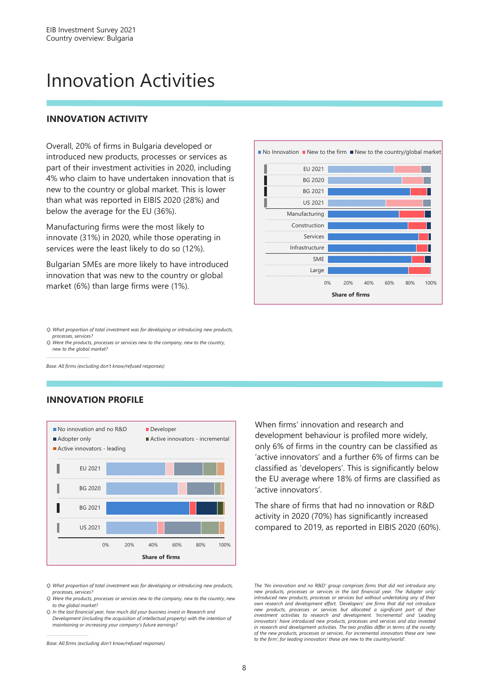## Innovation Activities

### **INNOVATION ACTIVITY**

introduced new products, processes or services as part of their investment activities in 2020, including 4% who claim to have undertaken innovation that is new to the country or global market. This is lower than what was reported in EIBIS 2020 (28%) and below the average for the EU (36%).

Manufacturing firms were the most likely to innovate (31%) in 2020, while those operating in services were the least likely to do so (12%).

Bulgarian SMEs are more likely to have introduced innovation that was new to the country or global market (6%) than large firms were (1%).



*Q. What proportion of total investment was for developing or introducing new products, processes, services?* 

*Q. Were the products, processes or services new to the company, new to the country, new to the global market?*

*Base: All firms (excluding don't know/refused responses)*

### **INNOVATION PROFILE**



*Q. What proportion of total investment was for developing or introducing new products, processes, services?* 

*Q. Were the products, processes or services new to the company, new to the country, new to the global market?*

*Q. In the last financial year, how much did your business invest in Research and Development (including the acquisition of intellectual property) with the intention of maintaining or increasing your company's future earnings?* 

*Base: All firms (excluding don't know/refused responses)*

When firms' innovation and research and development behaviour is profiled more widely, only 6% of firms in the country can be classified as 'active innovators' and a further 6% of firms can be classified as 'developers'. This is significantly below the EU average where 18% of firms are classified as 'active innovators'.

The share of firms that had no innovation or R&D activity in 2020 (70%) has significantly increased compared to 2019, as reported in EIBIS 2020 (60%).

*The 'No innovation and no R&D' group comprises firms that did not introduce any new products, processes or services in the last financial year. The 'Adopter only' introduced new products, processes or services but without undertaking any of their own research and development effort. 'Developers' are firms that did not introduce* new products, processes or services but allocated a significant part of their<br>investment activities to research and development. 'Incremental' and 'Leading *innovators' have introduced new products, processes and services and also invested in research and development activities. The two profiles differ in terms of the novelty of the new products, processes or services. For incremental innovators these are 'new to the firm'; for leading innovators' these are new to the country/world'.*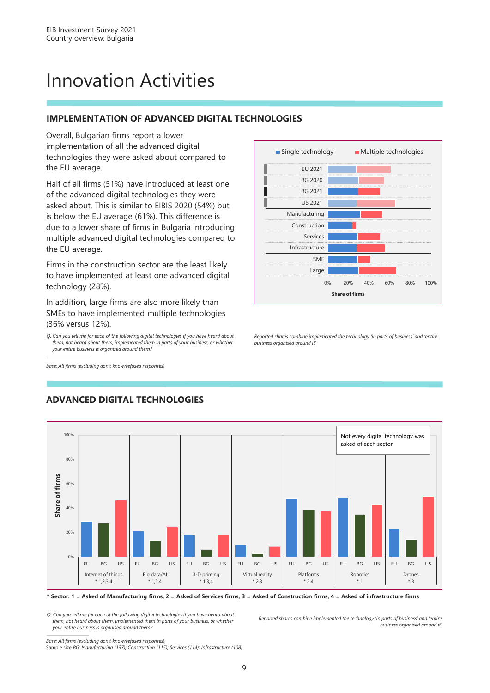# Innovation Activities

### **IMPLEMENTATION OF ADVANCED DIGITAL TECHNOLOGIES**

Overall, Bulgarian firms report a lower implementation of all the advanced digital technologies they were asked about compared to the EU average.

Half of all firms (51%) have introduced at least one of the advanced digital technologies they were asked about. This is similar to EIBIS 2020 (54%) but is below the EU average (61%). This difference is due to a lower share of firms in Bulgaria introducing multiple advanced digital technologies compared to the EU average.

Firms in the construction sector are the least likely to have implemented at least one advanced digital technology (28%).

In addition, large firms are also more likely than SMEs to have implemented multiple technologies (36% versus 12%).

*Q. Can you tell me for each of the following digital technologies if you have heard about them, not heard about them, implemented them in parts of your business, or whether your entire business is organised around them?*

*Base: All firms (excluding don't know/refused responses)*



*Reported shares combine implemented the technology 'in parts of business' and 'entire business organised around it'*



### **ADVANCED DIGITAL TECHNOLOGIES**

**\* Sector: 1 = Asked of Manufacturing firms, 2 = Asked of Services firms, 3 = Asked of Construction firms, 4 = Asked of infrastructure firms**

*Q. Can you tell me for each of the following digital technologies if you have heard about them, not heard about them, implemented them in parts of your business, or whether your entire business is organised around them?*

*Reported shares combine implemented the technology 'in parts of business' and 'entire business organised around it'*

*Base: All firms (excluding don't know/refused responses*); Sample size *BG: Manufacturing (137); Construction (115); Services (114); Infrastructure (108)*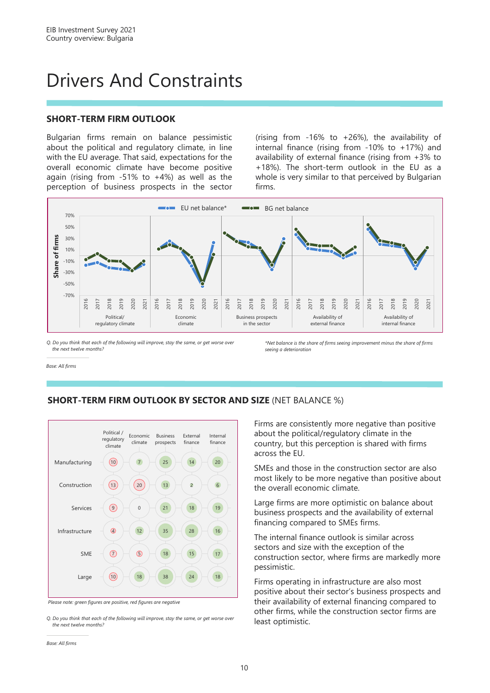# Drivers And Constraints

### **SHORT-TERM FIRM OUTLOOK**

Bulgarian firms remain on balance pessimistic about the political and regulatory climate, in line with the EU average. That said, expectations for the overall economic climate have become positive again (rising from  $-51\%$  to  $+4\%$ ) as well as the perception of business prospects in the sector (rising from -16% to +26%), the availability of internal finance (rising from -10% to +17%) and availability of external finance (rising from +3% to +18%). The short-term outlook in the EU as a whole is very similar to that perceived by Bulgarian firms.



*Q. Do you think that each of the following will improve, stay the same, or get worse over the next twelve months?*

*\*Net balance is the share of firms seeing improvement minus the share of firms seeing a deterioration*

*Base: All firms*



**SHORT-TERM FIRM OUTLOOK BY SECTOR AND SIZE** (NET BALANCE %)

*Base: All firms*

Firms are consistently more negative than positive about the political/regulatory climate in the country, but this perception is shared with firms across the EU.

SMEs and those in the construction sector are also most likely to be more negative than positive about the overall economic climate.

Large firms are more optimistic on balance about business prospects and the availability of external financing compared to SMEs firms.

The internal finance outlook is similar across sectors and size with the exception of the construction sector, where firms are markedly more pessimistic.

Firms operating in infrastructure are also most positive about their sector's business prospects and their availability of external financing compared to other firms, while the construction sector firms are least optimistic.

*Please note: green figures are positive, red figures are negative*

*Q. Do you think that each of the following will improve, stay the same, or get worse over the next twelve months?*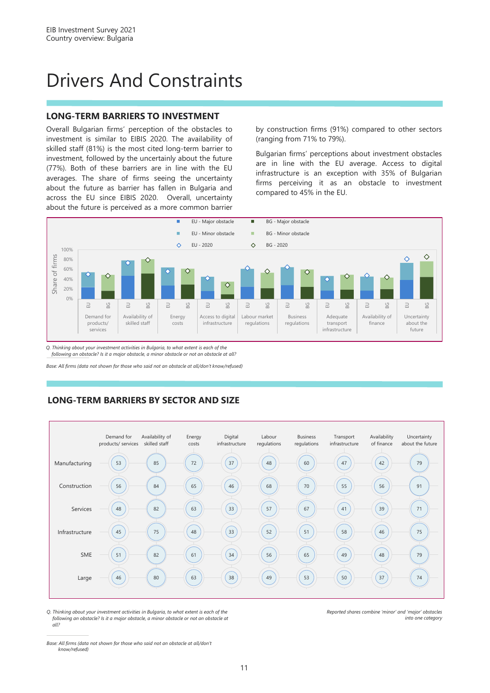# Drivers And Constraints

#### **LONG-TERM BARRIERS TO INVESTMENT**

Overall Bulgarian firms' perception of the obstacles to investment is similar to EIBIS 2020. The availability of skilled staff (81%) is the most cited long-term barrier to investment, followed by the uncertainly about the future (77%). Both of these barriers are in line with the EU averages. The share of firms seeing the uncertainty about the future as barrier has fallen in Bulgaria and across the EU since EIBIS 2020. Overall, uncertainty about the future is perceived as a more common barrier

by construction firms (91%) compared to other sectors (ranging from 71% to 79%).

Bulgarian firms' perceptions about investment obstacles are in line with the EU average. Access to digital infrastructure is an exception with 35% of Bulgarian firms perceiving it as an obstacle to investment compared to 45% in the EU.



*Q. Thinking about your investment activities in Bulgaria, to what extent is each of the following an obstacle? Is it a major obstacle, a minor obstacle or not an obstacle at all?*

*Base: All firms (data not shown for those who said not an obstacle at all/don't know/refused)*





*Q. Thinking about your investment activities in Bulgaria, to what extent is each of the following an obstacle? Is it a major obstacle, a minor obstacle or not an obstacle at all?*

*Reported shares combine 'minor' and 'major' obstacles into one category*

*Base: All firms (data not shown for those who said not an obstacle at all/don't know/refused)*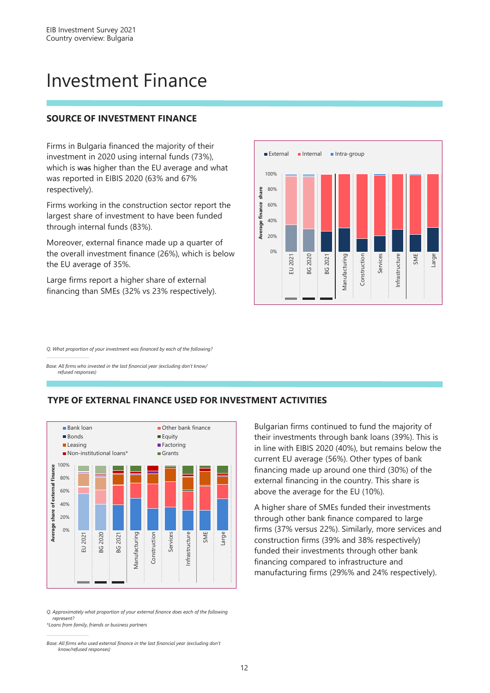### Investment Finance

### **SOURCE OF INVESTMENT FINANCE**

Firms in Bulgaria financed the majority of their investment in 2020 using internal funds (73%), which is was higher than the EU average and what was reported in EIBIS 2020 (63% and 67% respectively).

Firms working in the construction sector report the largest share of investment to have been funded through internal funds (83%).

Moreover, external finance made up a quarter of the overall investment finance (26%), which is below the EU average of 35%.

Large firms report a higher share of external financing than SMEs (32% vs 23% respectively).



*Q. What proportion of your investment was financed by each of the following?*

*Base: All firms who invested in the last financial year (excluding don't know/ refused responses)*





*Q. Approximately what proportion of your external finance does each of the following represent?*

*\*Loans from family, friends or business partners*

*Base: All firms who used external finance in the last financial year (excluding don't know/refused responses)*

Bulgarian firms continued to fund the majority of their investments through bank loans (39%). This is in line with EIBIS 2020 (40%), but remains below the current EU average (56%). Other types of bank financing made up around one third (30%) of the external financing in the country. This share is above the average for the EU (10%).

A higher share of SMEs funded their investments through other bank finance compared to large firms (37% versus 22%). Similarly, more services and construction firms (39% and 38% respectively) funded their investments through other bank financing compared to infrastructure and manufacturing firms (29%% and 24% respectively).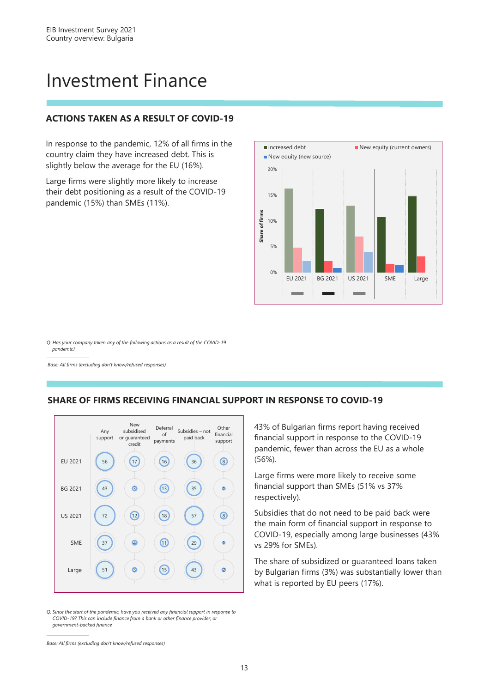## Investment Finance

### **ACTIONS TAKEN AS A RESULT OF COVID-19**

In response to the pandemic, 12% of all firms in the country claim they have increased debt. This is slightly below the average for the EU (16%).

Large firms were slightly more likely to increase their debt positioning as a result of the COVID-19 pandemic (15%) than SMEs (11%).



*Q. Has your company taken any of the following actions as a result of the COVID-19 pandemic?*

*Base: All firms (excluding don't know/refused responses)*



#### **SHARE OF FIRMS RECEIVING FINANCIAL SUPPORT IN RESPONSE TO COVID-19**

43% of Bulgarian firms report having received financial support in response to the COVID-19 pandemic, fewer than across the EU as a whole (56%).

Large firms were more likely to receive some financial support than SMEs (51% vs 37% respectively).

Subsidies that do not need to be paid back were the main form of financial support in response to COVID-19, especially among large businesses (43% vs 29% for SMEs).

The share of subsidized or guaranteed loans taken by Bulgarian firms (3%) was substantially lower than what is reported by EU peers (17%).

*Q. Since the start of the pandemic, have you received any financial support in response to COVID-19? This can include finance from a bank or other finance provider, or government-backed finance*

*Base: All firms (excluding don't know/refused responses)*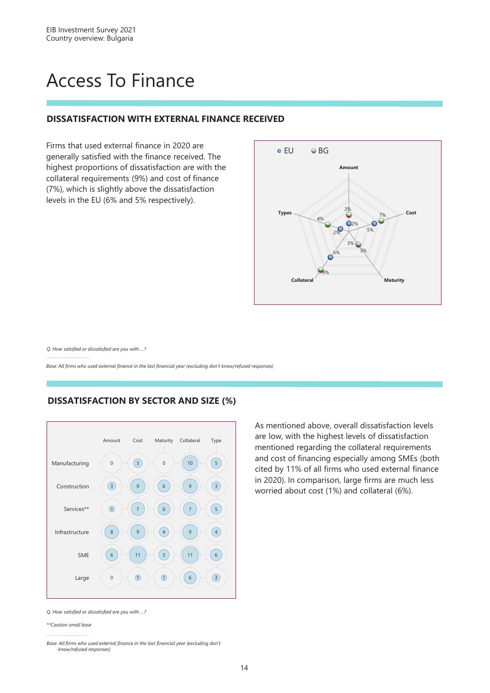# Access To Finance

#### **DISSATISFACTION WITH EXTERNAL FINANCE RECEIVED**

Firms that used external finance in 2020 are generally satisfied with the finance received. The highest proportions of dissatisfaction are with the collateral requirements (9%) and cost of finance (7%), which is slightly above the dissatisfaction levels in the EU (6% and 5% respectively).



*Q. How satisfied or dissatisfied are you with …?*

*Base: All firms who used external finance in the last financial year (excluding don't know/refused responses)* 

#### **DISSATISFACTION BY SECTOR AND SIZE (%)**



As mentioned above, overall dissatisfaction levels are low, with the highest levels of dissatisfaction mentioned regarding the collateral requirements and cost of financing especially among SMEs (both cited by 11% of all firms who used external finance in 2020). In comparison, large firms are much less worried about cost (1%) and collateral (6%).

*Q. How satisfied or dissatisfied are you with …?*

*\*\*Caution small base*

*Base: All firms who used external finance in the last financial year (excluding don't know/refused responses)*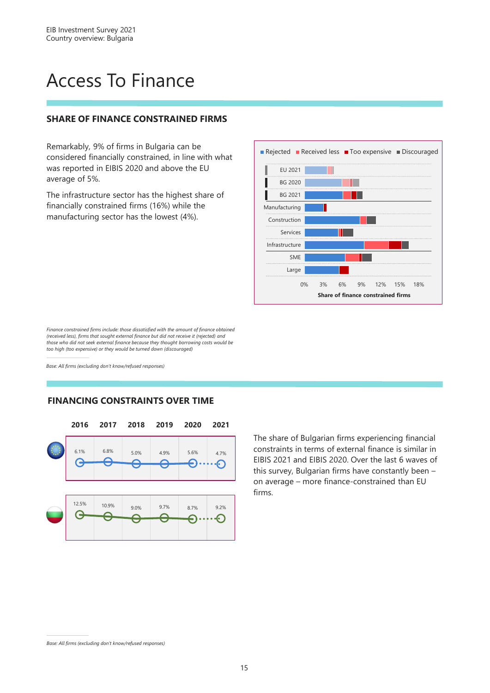# Access To Finance

#### **SHARE OF FINANCE CONSTRAINED FIRMS**

Remarkably, 9% of firms in Bulgaria can be considered financially constrained, in line with what was reported in EIBIS 2020 and above the EU average of 5%.

The infrastructure sector has the highest share of financially constrained firms (16%) while the manufacturing sector has the lowest (4%).



*Finance constrained firms include: those dissatisfied with the amount of finance obtained (received less), firms that sought external finance but did not receive it (rejected) and those who did not seek external finance because they thought borrowing costs would be too high (too expensive) or they would be turned down (discouraged)*

*Base: All firms (excluding don't know/refused responses)*

### **FINANCING CONSTRAINTS OVER TIME**



The share of Bulgarian firms experiencing financial constraints in terms of external finance is similar in EIBIS 2021 and EIBIS 2020. Over the last 6 waves of this survey, Bulgarian firms have constantly been – on average – more finance-constrained than EU firms.

*Base: All firms (excluding don't know/refused responses)*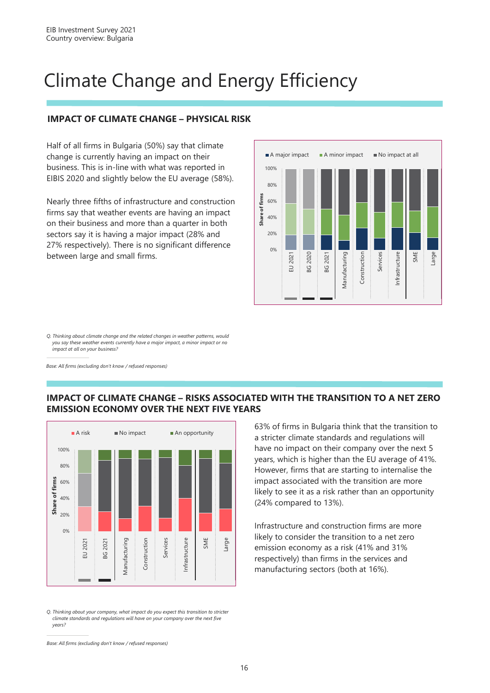# Climate Change and Energy Efficiency

### **IMPACT OF CLIMATE CHANGE – PHYSICAL RISK**

Half of all firms in Bulgaria (50%) say that climate change is currently having an impact on their business. This is in-line with what was reported in EIBIS 2020 and slightly below the EU average (58%).

Nearly three fifths of infrastructure and construction firms say that weather events are having an impact on their business and more than a quarter in both sectors say it is having a major impact (28% and 27% respectively). There is no significant difference between large and small firms.



*Q. Thinking about climate change and the related changes in weather patterns, would you say these weather events currently have a major impact, a minor impact or no impact at all on your business?* 

*Base: All firms (excluding don't know / refused responses)*

#### **IMPACT OF CLIMATE CHANGE – RISKS ASSOCIATED WITH THE TRANSITION TO A NET ZERO EMISSION ECONOMY OVER THE NEXT FIVE YEARS**



*Q. Thinking about your company, what impact do you expect this transition to stricter climate standards and regulations will have on your company over the next five years?*

63% of firms in Bulgaria think that the transition to a stricter climate standards and regulations will have no impact on their company over the next 5 years, which is higher than the EU average of 41%. However, firms that are starting to internalise the impact associated with the transition are more likely to see it as a risk rather than an opportunity (24% compared to 13%).

Infrastructure and construction firms are more likely to consider the transition to a net zero emission economy as a risk (41% and 31% respectively) than firms in the services and manufacturing sectors (both at 16%).

*Base: All firms (excluding don't know / refused responses)*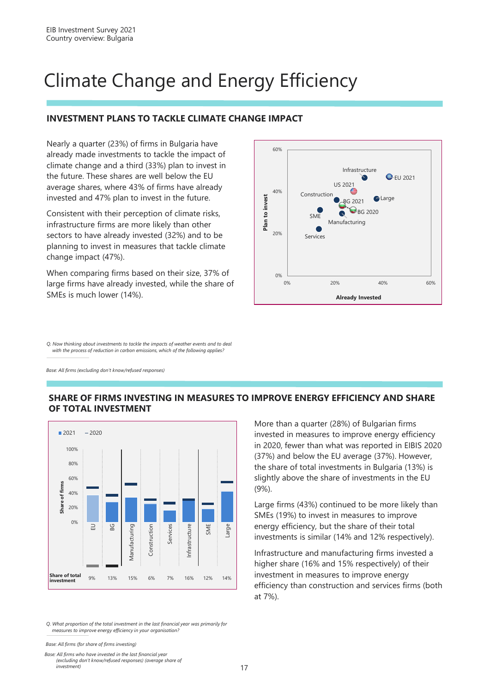# Climate Change and Energy Efficiency

### **INVESTMENT PLANS TO TACKLE CLIMATE CHANGE IMPACT**

Nearly a quarter (23%) of firms in Bulgaria have already made investments to tackle the impact of climate change and a third (33%) plan to invest in the future. These shares are well below the EU average shares, where 43% of firms have already invested and 47% plan to invest in the future.

Consistent with their perception of climate risks, infrastructure firms are more likely than other sectors to have already invested (32%) and to be planning to invest in measures that tackle climate change impact (47%).

When comparing firms based on their size, 37% of large firms have already invested, while the share of SMEs is much lower (14%).

60% Infrastructure **C**-EU 2021 US 2021 40% Construction **Plan to invest** Plan to invest **G**Large BG 2021 **BG 2020 SMF** Manufacturing  $20%$ Services 0% 0% 20% 40% 60% **Already Invested**

*Q. Now thinking about investments to tackle the impacts of weather events and to deal with the process of reduction in carbon emissions, which of the following applies?*

*Base: All firms (excluding don't know/refused responses)*





*Q. What proportion of the total investment in the last financial year was primarily for measures to improve energy efficiency in your organisation?*

*Base: All firms (for share of firms investing)*

*Base: All firms who have invested in the last financial year (excluding don't know/refused responses) (average share of investment)*

More than a quarter (28%) of Bulgarian firms invested in measures to improve energy efficiency in 2020, fewer than what was reported in EIBIS 2020 (37%) and below the EU average (37%). However, the share of total investments in Bulgaria (13%) is slightly above the share of investments in the EU (9%).

Large firms (43%) continued to be more likely than SMEs (19%) to invest in measures to improve energy efficiency, but the share of their total investments is similar (14% and 12% respectively).

Infrastructure and manufacturing firms invested a higher share (16% and 15% respectively) of their investment in measures to improve energy efficiency than construction and services firms (both at 7%).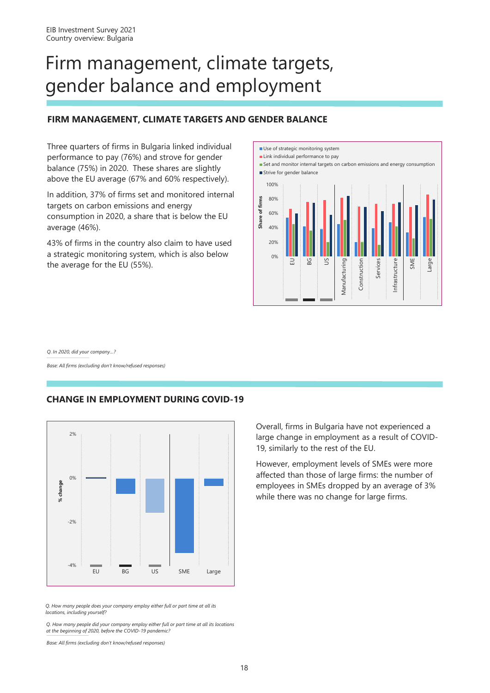# Firm management, climate targets, gender balance and employment

### **FIRM MANAGEMENT, CLIMATE TARGETS AND GENDER BALANCE**

Three quarters of firms in Bulgaria linked individual performance to pay (76%) and strove for gender balance (75%) in 2020. These shares are slightly above the EU average (67% and 60% respectively).

In addition, 37% of firms set and monitored internal targets on carbon emissions and energy consumption in 2020, a share that is below the EU average (46%).

43% of firms in the country also claim to have used a strategic monitoring system, which is also below the average for the EU (55%).



*Q. In 2020, did your company…?*

*Base: All firms (excluding don't know/refused responses)*

### **CHANGE IN EMPLOYMENT DURING COVID-19**



*Q. How many people does your company employ either full or part time at all its locations, including yourself?*

*Q. How many people did your company employ either full or part time at all its locations at the beginning of 2020, before the COVID-19 pandemic?* 

*Base: All firms (excluding don't know/refused responses)*

Overall, firms in Bulgaria have not experienced a large change in employment as a result of COVID-19, similarly to the rest of the EU.

However, employment levels of SMEs were more affected than those of large firms: the number of employees in SMEs dropped by an average of 3% while there was no change for large firms.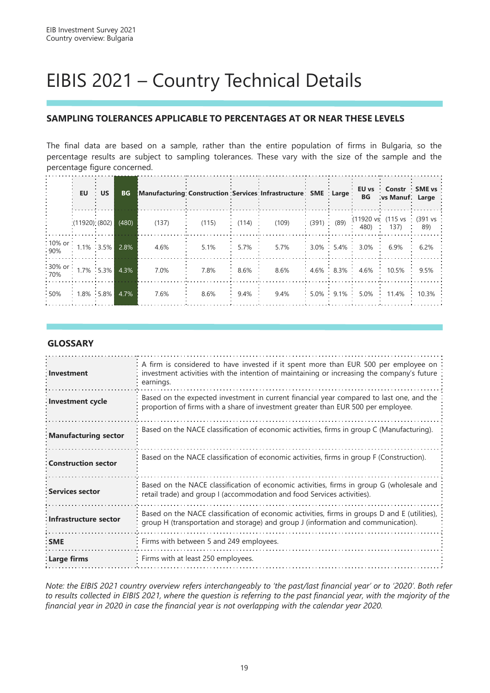# EIBIS 2021 – Country Technical Details

### **SAMPLING TOLERANCES APPLICABLE TO PERCENTAGES AT OR NEAR THESE LEVELS**

The final data are based on a sample, rather than the entire population of firms in Bulgaria, so the percentage results are subject to sampling tolerances. These vary with the size of the sample and the percentage figure concerned.

|                                                                                                      |                   | $EU \cdot US$ | <b>BG</b> | Manufacturing Construction Services Infrastructure SME Large |       |         |       |  | BG                     | EU vs Constr SME vs<br>vs Manuf: Large                                                                                        |         |
|------------------------------------------------------------------------------------------------------|-------------------|---------------|-----------|--------------------------------------------------------------|-------|---------|-------|--|------------------------|-------------------------------------------------------------------------------------------------------------------------------|---------|
|                                                                                                      | (11920)(802)      |               | (480)     | (137)                                                        | (115) | (114)   | (109) |  |                        | $\vdots$ (391) $\vdots$ (89) $\vdots$ (11920 vs (115 vs $\vdots$ (391 vs $\vdots$<br>480) $\vdots$ 137) $\vdots$ 89) $\vdots$ |         |
| : 10% or : 1.1% : 3.5% 2.8%                                                                          |                   |               |           | 4.6%                                                         | 5.1%  | $5.7\%$ | 5.7%  |  | $3.0\%$ 5.4% 3.0% 6.9% |                                                                                                                               | $6.2\%$ |
| $\begin{array}{ c c c c c c }\n \hline \text{30\% or} & 1.7\% & 5.3\% & 4.3\% \\ \hline \end{array}$ |                   |               |           | 7.0%                                                         | 7.8%  | $8.6\%$ | 8.6%  |  |                        | $4.6\%$ 8.3% 4.6% 10.5% 9.5%                                                                                                  |         |
| :50%                                                                                                 | $1.8\%$ 5.8% 4.7% |               |           | 7.6%                                                         | 8.6%  | $9.4\%$ | 9.4%  |  |                        | 5.0% 9.1% 5.0% 11.4% 10.3%                                                                                                    |         |

#### **GLOSSARY**

| Investment                 | A firm is considered to have invested if it spent more than EUR 500 per employee on :<br>investment activities with the intention of maintaining or increasing the company's future<br>earnings. |
|----------------------------|--------------------------------------------------------------------------------------------------------------------------------------------------------------------------------------------------|
| : Investment cycle         | Based on the expected investment in current financial year compared to last one, and the<br>proportion of firms with a share of investment greater than EUR 500 per employee.                    |
| Manufacturing sector       | Based on the NACE classification of economic activities, firms in group C (Manufacturing).                                                                                                       |
| <b>Construction sector</b> | Based on the NACE classification of economic activities, firms in group F (Construction).                                                                                                        |
| <b>Services sector</b>     | Based on the NACE classification of economic activities, firms in group G (wholesale and<br>retail trade) and group I (accommodation and food Services activities).                              |
| Infrastructure sector      | Based on the NACE classification of economic activities, firms in groups D and E (utilities),<br>group H (transportation and storage) and group J (information and communication).               |
| : SME                      | Firms with between 5 and 249 employees.                                                                                                                                                          |
| : Large firms              | Firms with at least 250 employees.                                                                                                                                                               |

*Note: the EIBIS 2021 country overview refers interchangeably to 'the past/last financial year' or to '2020'. Both refer to results collected in EIBIS 2021, where the question is referring to the past financial year, with the majority of the financial year in 2020 in case the financial year is not overlapping with the calendar year 2020.*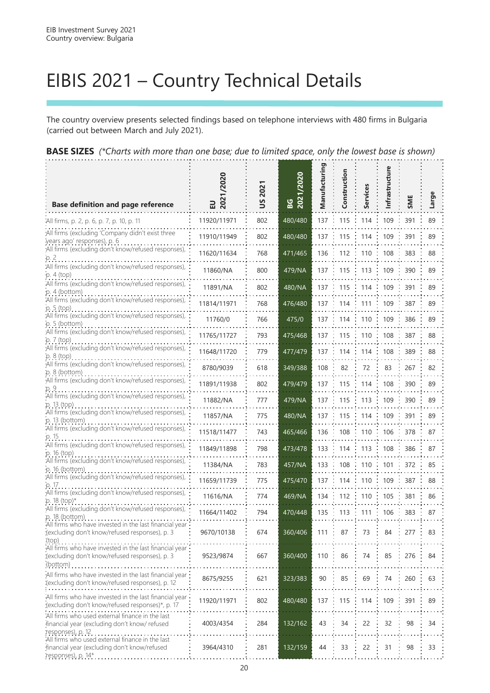# EIBIS 2021 – Country Technical Details

The country overview presents selected findings based on telephone interviews with 480 firms in Bulgaria (carried out between March and July 2021).

| <b>Base definition and page reference</b>                                       | $\sim$<br>ш. | $\overline{a}$<br>SU | /2020<br>ဖြွှ ချွံ့ |     |                                  |  |                  |      |
|---------------------------------------------------------------------------------|--------------|----------------------|---------------------|-----|----------------------------------|--|------------------|------|
| All firms, p. 2, p. 6, p. 7, p. 10, p. 11                                       | 11920/11971  | 802                  | 480/480             |     | 137 : 115 : 114 : 109 : 391      |  |                  | : 89 |
| All firms (excluding 'Company didn't exist three<br>years ago' responses), p. 6 | 11910/11949  | 802                  | 480/480             |     | 137 : 115 : 114 : 109 : 391      |  |                  | - 89 |
| All firms (excluding don't know/refused responses), :<br>in 2                   | 11620/11634  | 768                  | 471/465             |     | 136 : 112 : 110 : 108 : 383 : 88 |  |                  |      |
| All firms (excluding don't know/refused responses), :<br>$p.4$ (top)            | 11860/NA     | 800                  | 479/NA              | 137 | : 115 : 113 : 109                |  | $\therefore$ 390 | 89   |

**BASE SIZES** *(\*Charts with more than one base; due to limited space, only the lowest base is shown)*

|                                                                                                           | ᄜ           |     | ี ∾     |     |       |            |     |     |    |
|-----------------------------------------------------------------------------------------------------------|-------------|-----|---------|-----|-------|------------|-----|-----|----|
| All firms, p. 2, p. 6, p. 7, p. 10, p. 11                                                                 | 11920/11971 | 802 | 480/480 | 137 | 115   | 114        | 109 | 391 | 89 |
| All firms (excluding 'Company didn't exist three                                                          | 11910/11949 | 802 | 480/480 | 137 | 115   | 114        | 109 | 391 | 89 |
| years ago' responses), p. 6<br>All firms (excluding don't know/refused responses),                        | 11620/11634 | 768 | 471/465 | 136 | 112   | 110        | 108 | 383 | 88 |
| p. 2                                                                                                      |             |     |         |     |       |            |     |     |    |
| All firms (excluding don't know/refused responses),<br>$p.4$ (top)                                        | 11860/NA    | 800 | 479/NA  | 137 | 115   | 113        | 109 | 390 | 89 |
| All firms (excluding don't know/refused responses),<br>p. 4 (bottom)                                      | 11891/NA    | 802 | 480/NA  | 137 | 115   | 114        | 109 | 391 | 89 |
| All firms (excluding don't know/refused responses),                                                       | 11814/11971 | 768 | 476/480 | 137 | 114   | 111        | 109 | 387 | 89 |
| p. 5 (top)<br>All firms (excluding don't know/refused responses),                                         | 11760/0     | 766 | 475/0   | 137 | 114   | 110        | 109 | 386 | 89 |
| p. 5 (bottom)<br>All firms (excluding don't know/refused responses),                                      |             |     |         |     |       |            |     |     |    |
| p. 7 (top)<br>All firms (excluding don't know/refused responses),                                         | 11765/11727 | 793 | 475/468 | 137 | 115   | 110        | 108 | 387 | 88 |
| p. 8 (top)                                                                                                | 11648/11720 | 779 | 477/479 | 137 | 114   | 114        | 108 | 389 | 88 |
| All firms (excluding don't know/refused responses),<br>p. 8 (bottom)                                      | 8780/9039   | 618 | 349/388 | 108 | 82    | 72         | 83  | 267 | 82 |
| All firms (excluding don't know/refused responses),                                                       | 11891/11938 | 802 | 479/479 | 137 | : 115 | $\div$ 114 | 108 | 390 | 89 |
| All firms (excluding don't know/refused responses),<br>p. 13 (top)                                        | 11882/NA    | 777 | 479/NA  | 137 | 115   | 113        | 109 | 390 | 89 |
| All firms (excluding don't know/refused responses),                                                       | 11857/NA    | 775 | 480/NA  | 137 | 115   | 114        | 109 | 391 | 89 |
| p. 13 (bottom)<br>All firms (excluding don't know/refused responses),                                     | 11518/11477 | 743 | 465/466 | 136 | 108   | 110        | 106 | 378 | 87 |
| p. 15<br>All firms (excluding don't know/refused responses),                                              | 11849/11898 | 798 | 473/478 | 133 | 114   | 113        | 108 | 386 | 87 |
| p. 16 (top)<br>All firms (excluding don't know/refused responses),                                        |             |     |         |     |       |            |     |     |    |
| $p. 16$ (bottom)<br>All firms (excluding don't know/refused responses),                                   | 11384/NA    | 783 | 457/NA  | 133 | 108   | 110        | 101 | 372 | 85 |
| p. 17                                                                                                     | 11659/11739 | 775 | 475/470 | 137 | 114   | 110        | 109 | 387 | 88 |
| All firms (excluding don't know/refused responses),<br>p. 18 (top)*                                       | 11616/NA    | 774 | 469/NA  | 134 | 112   | 110        | 105 | 381 | 86 |
| All firms (excluding don't know/refused responses),<br>p. 18 (bottom)                                     | 11664/11402 | 794 | 470/448 | 135 | 113   | 111        | 106 | 383 | 87 |
| All firms who have invested in the last financial year<br>(excluding don't know/refused responses), p. 3  | 9670/10138  |     | 360/406 | 111 | 87    | 73         | 84  | 277 | 83 |
| (top)                                                                                                     |             | 674 |         |     |       |            |     |     |    |
| All firms who have invested in the last financial year<br>(excluding don't know/refused responses), p. 3  | 9523/9874   | 667 | 360/400 | 110 | 86    | 74         | 85  | 276 | 84 |
| (bottom)                                                                                                  |             |     |         |     |       |            |     |     |    |
| All firms who have invested in the last financial year<br>(excluding don't know/refused responses), p. 12 | 8675/9255   | 621 | 323/383 | 90  | 85    | 69         | 74  | 260 | 63 |
| All firms who have invested in the last financial year                                                    | 11920/11971 | 802 | 480/480 | 137 | 115   | 114        | 109 | 391 | 89 |
| (excluding don't know/refused responses)*, p. 17                                                          |             |     |         |     |       |            |     |     |    |
| All firms who used external finance in the last<br>financial year (excluding don't know/refused           | 4003/4354   | 284 | 132/162 | 43  | 34    | 22         | 32  | 98  | 34 |
| responses), p. 12.<br>All firms who used external finance in the last                                     |             |     |         |     |       |            |     |     |    |
| financial year (excluding don't know/refused<br>responses), p. 14*.                                       | 3964/4310   | 281 | 132/159 | 44  | 33    | 22         | 31  | 98  | 33 |